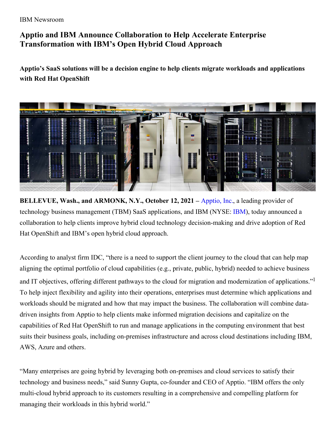## IBM Newsroom

# **Apptio and IBM Announce Collaboration to Help Accelerate Enterprise Transformation with IBM's Open Hybrid Cloud Approach**

**Apptio's SaaS solutions will be a decision engine to help clients migrate workloads and applications with Red Hat OpenShift**



**BELLEVUE, Wash., and ARMONK, N.Y., October 12, 2021 –** [Apptio,](https://www.apptio.com/) Inc., a leading provider of technology business management (TBM) SaaS applications, and IBM (NYSE: [IBM\)](https://c212.net/c/link/?t=0&l=en&o=3303051-1&h=1977568640&u=https%3A%2F%2Fc212.net%2Fc%2Flink%2F%3Ft%3D0%26l%3Den%26o%3D3091869-1%26h%3D3808315190%26u%3Dhttp%253A%252F%252Fwww.ibm.com%252Finvestor%26a%3DIBM&a=IBM), today announced a collaboration to help clients improve hybrid cloud technology decision-making and drive adoption of Red Hat OpenShift and IBM's open hybrid cloud approach.

According to analyst firm IDC, "there is a need to support the client journey to the cloud that can help map aligning the optimal portfolio of cloud capabilities (e.g., private, public, hybrid) needed to achieve business and IT objectives, offering different pathways to the cloud for migration and modernization of applications."<sup>1</sup> To help inject flexibility and agility into their operations, enterprises must determine which applications and workloads should be migrated and how that may impact the business. The collaboration will combine datadriven insights from Apptio to help clients make informed migration decisions and capitalize on the capabilities of Red Hat OpenShift to run and manage applications in the computing environment that best suits their business goals, including on-premises infrastructure and across cloud destinations including IBM, AWS, Azure and others.

"Many enterprises are going hybrid by leveraging both on-premises and cloud services to satisfy their technology and business needs," said Sunny Gupta, co-founder and CEO of Apptio. "IBM offers the only multi-cloud hybrid approach to its customers resulting in a comprehensive and compelling platform for managing their workloads in this hybrid world."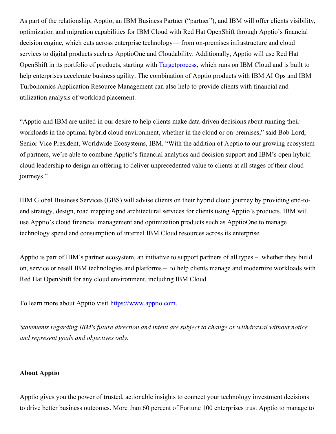As part of the relationship, Apptio, an IBM Business Partner ("partner"), and IBM will offer clients visibility, optimization and migration capabilities for IBM Cloud with Red Hat OpenShift through Apptio's financial decision engine, which cuts across enterprise technology— from on-premises infrastructure and cloud services to digital products such as ApptioOne and Cloudability. Additionally, Apptio will use Red Hat OpenShift in its portfolio of products, starting with [Targetprocess,](https://www.apptio.com/products/targetprocess/) which runs on IBM Cloud and is built to help enterprises accelerate business agility. The combination of Apptio products with IBM AI Ops and IBM Turbonomics Application Resource Management can also help to provide clients with financial and utilization analysis of workload placement.

"Apptio and IBM are united in our desire to help clients make data-driven decisions about running their workloads in the optimal hybrid cloud environment, whether in the cloud or on-premises," said Bob Lord, Senior Vice President, Worldwide Ecosystems, IBM. "With the addition of Apptio to our growing ecosystem of partners, we're able to combine Apptio's financial analytics and decision support and IBM's open hybrid cloud leadership to design an offering to deliver unprecedented value to clients at all stages of their cloud journeys."

IBM Global Business Services (GBS) will advise clients on their hybrid cloud journey by providing end-toend strategy, design, road mapping and architectural services for clients using Apptio's products. IBM will use Apptio's cloud financial management and optimization products such as ApptioOne to manage technology spend and consumption of internal IBM Cloud resources across its enterprise.

Apptio is part of IBM's partner ecosystem, an initiative to support partners of all types – whether they build on, service or resell IBM technologies and platforms – to help clients manage and modernize workloads with Red Hat OpenShift for any cloud environment, including IBM Cloud.

To learn more about Apptio visit [https://www.apptio.com](https://www.apptio.com/).

*Statements regarding IBM's future direction and intent are subject to change or withdrawal without notice and represent goals and objectives only.*

### **About Apptio**

Apptio gives you the power of trusted, actionable insights to connect your technology investment decisions to drive better business outcomes. More than 60 percent of Fortune 100 enterprises trust Apptio to manage to